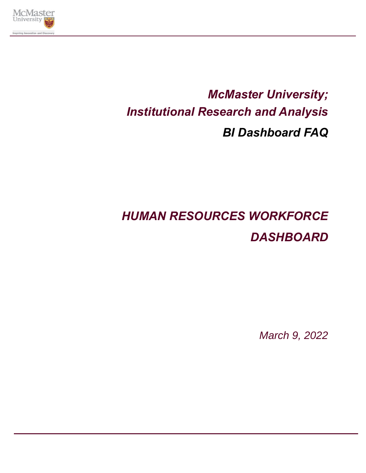

# *McMaster University; Institutional Research and Analysis BI Dashboard FAQ*

# *HUMAN RESOURCES WORKFORCE DASHBOARD*

*March 9, 2022*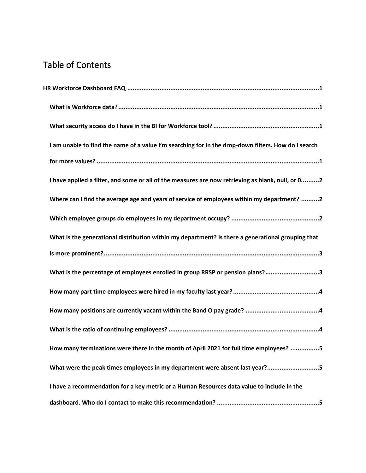# Table of Contents

| I am unable to find the name of a value I'm searching for in the drop-down filters. How do I search |  |
|-----------------------------------------------------------------------------------------------------|--|
|                                                                                                     |  |
| I have applied a filter, and some or all of the measures are now retrieving as blank, null, or 02   |  |
| Where can I find the average age and years of service of employees within my department? 2          |  |
|                                                                                                     |  |
| What is the generational distribution within my department? Is there a generational grouping that   |  |
|                                                                                                     |  |
| What is the percentage of employees enrolled in group RRSP or pension plans?3                       |  |
|                                                                                                     |  |
|                                                                                                     |  |
|                                                                                                     |  |
| How many terminations were there in the month of April 2021 for full time employees? 5              |  |
| What were the peak times employees in my department were absent last year?5                         |  |
| I have a recommendation for a key metric or a Human Resources data value to include in the          |  |
|                                                                                                     |  |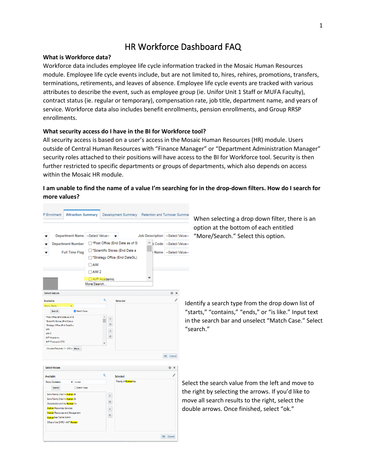## HR Workforce Dashboard FAQ

#### <span id="page-2-1"></span><span id="page-2-0"></span>**What is Workforce data?**

Workforce data includes employee life cycle information tracked in the Mosaic Human Resources module. Employee life cycle events include, but are not limited to, hires, rehires, promotions, transfers, terminations, retirements, and leaves of absence. Employee life cycle events are tracked with various attributes to describe the event, such as employee group (ie. Unifor Unit 1 Staff or MUFA Faculty), contract status (ie. regular or temporary), compensation rate, job title, department name, and years of service. Workforce data also includes benefit enrollments, pension enrollments, and Group RRSP enrollments.

#### <span id="page-2-2"></span>**What security access do I have in the BI for Workforce tool?**

All security access is based on a user's access in the Mosaic Human Resources (HR) module. Users outside of Central Human Resources with "Finance Manager" or "Department Administration Manager" security roles attached to their positions will have access to the BI for Workforce tool. Security is then further restricted to specific departments or groups of departments, which also depends on access within the Mosaic HR module.

### <span id="page-2-3"></span>**I am unable to find the name of a value I'm searching for in the drop-down filters. How do I search for more values?**

<span id="page-2-4"></span>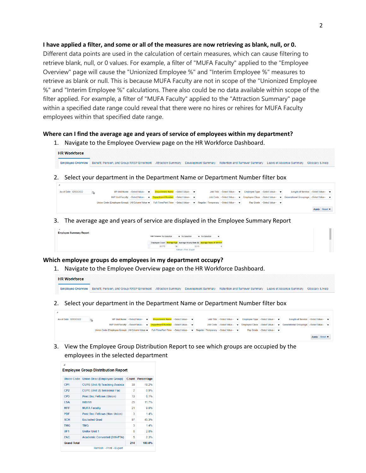### **I have applied a filter, and some or all of the measures are now retrieving as blank, null, or 0.**

Different data points are used in the calculation of certain measures, which can cause filtering to retrieve blank, null, or 0 values. For example, a filter of "MUFA Faculty" applied to the "Employee Overview" page will cause the "Unionized Employee %" and "Interim Employee %" measures to retrieve as blank or null. This is because MUFA Faculty are not in scope of the "Unionized Employee %" and "Interim Employee %" calculations. There also could be no data available within scope of the filter applied. For example, a filter of "MUFA Faculty" applied to the "Attraction Summary" page within a specified date range could reveal that there were no hires or rehires for MUFA Faculty employees within that specified date range.

#### **Where can I find the average age and years of service of employees within my department?**

1. Navigate to the Employee Overview page on the HR Workforce Dashboard.

| <b>HR Workforce</b> |                                                                                                                                                                               |  |  |  |
|---------------------|-------------------------------------------------------------------------------------------------------------------------------------------------------------------------------|--|--|--|
|                     | Employee Overview   Benefit, Pension, and Group RRSP Enrolment Attraction Summary Development Summary Retention and Turnover Summary Leave of Absence Summary Glossary & Help |  |  |  |

2. Select your department in the Department Name or Department Number filter box



3. The average age and years of service are displayed in the Employee Summary Report



#### <span id="page-3-0"></span>**Which employee groups do employees in my department occupy?**

1. Navigate to the Employee Overview page on the HR Workforce Dashboard.

## **HR Workforce**

- Employee Overview Benefit, Pension, and Group RRSP Enrolment Attraction Summary Development Summary Retention and Turnover Summary Leave of Absence Summary Glossary & Help
- 2. Select your department in the Department Name or Department Number filter box

| As of Date 02/03/2022 |                                                                                                                                | VP Unit Name -- Select Value- | Department Name → Select Value- ▼                                      |  | Job Title -Select Value- | Employee Type -Select Value- |                            | Length of Service -Select Value- ▼                                                                 |               |  |
|-----------------------|--------------------------------------------------------------------------------------------------------------------------------|-------------------------------|------------------------------------------------------------------------|--|--------------------------|------------------------------|----------------------------|----------------------------------------------------------------------------------------------------|---------------|--|
|                       |                                                                                                                                |                               | AVP Unit/Faculty --Select Value- v Department Number --Select Value- v |  |                          |                              |                            | Job Code -Select Value- v Employee Class -Select Value- v Generational Groupings --Select Value- v |               |  |
|                       | Union Code (Employee Group) (All Column Value: v Full-Time/Part-Time --Select Value-- v Regular / Temporary --Select Value-- v |                               |                                                                        |  |                          |                              | Pay Grade -Select Value- ▼ |                                                                                                    |               |  |
|                       |                                                                                                                                |                               |                                                                        |  |                          |                              |                            |                                                                                                    | Apply Reset v |  |

3. View the Employee Group Distribution Report to see which groups are occupied by the employees in the selected department

| ⊿                           | <b>Employee Group Distribution Report</b> |       |            |
|-----------------------------|-------------------------------------------|-------|------------|
|                             |                                           |       |            |
| <b>Union Code</b>           | <b>Union Desc (Employee Group)</b>        | Count | Percentage |
| C <sub>P</sub> <sub>1</sub> | <b>CUPE (Unit 1) Teaching Assista</b>     | 39    | 18.2%      |
| CP <sub>2</sub>             | <b>CUPE (Unit 2) Sessional Fac</b>        | 2     | 0.9%       |
| CP3                         | <b>Post Doc Fellows (Union)</b>           | 13    | 6.1%       |
| <b>ESA</b>                  | Interim                                   | 25    | 11.7%      |
| <b>MFF</b>                  | <b>MUFA Faculty</b>                       | 21    | 9.8%       |
| <b>PDF</b>                  | <b>Post Doc Fellows (Non Union)</b>       | 3     | 1.4%       |
| <b>SCH</b>                  | <b>Excluded Grad</b>                      | 97    | 45.3%      |
| <b>TMG</b>                  | <b>TMG</b>                                | 3     | 1.4%       |
| UF <sub>1</sub>             | <b>Unifor Unit 1</b>                      | 6     | 2.8%       |
| ZAC.                        | Academic Converted (006-PTA)              | 5     | 2.3%       |
| <b>Grand Total</b>          |                                           | 214   | 100.0%     |
|                             | Refresh - Print - Export                  |       |            |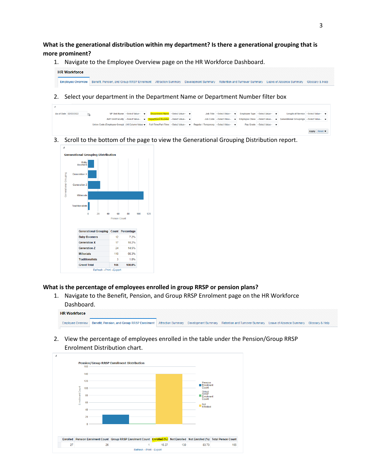<span id="page-4-0"></span>**What is the generational distribution within my department? Is there a generational grouping that is more prominent?**

1. Navigate to the Employee Overview page on the HR Workforce Dashboard.



2. Select your department in the Department Name or Department Number filter box

| As of Date 02/03/2022 |  |                                                                                                                                | VP Unit Name --Select Value-- | Department Name -- Select Value-                                                |  | Job Title --Select Value-- |  | Employee Type --Select Value-- | Length of Service --Select Value- ▼                                                                  |               |  |
|-----------------------|--|--------------------------------------------------------------------------------------------------------------------------------|-------------------------------|---------------------------------------------------------------------------------|--|----------------------------|--|--------------------------------|------------------------------------------------------------------------------------------------------|---------------|--|
|                       |  |                                                                                                                                |                               | AVP Unit/Faculty -- Select Value- v <b>Department Number</b> -- Select Value- v |  |                            |  |                                | Job Code --Select Value- v Employee Class --Select Value- v Generational Groupings --Select Value- v |               |  |
|                       |  | Union Code (Employee Group) (All Column Value: ▼ Full-Time/Part-Time --Select Value-- ▼ Regular / Temporary --Select Value-- ▼ |                               |                                                                                 |  |                            |  | Pay Grade --Select Value--     |                                                                                                      |               |  |
|                       |  |                                                                                                                                |                               |                                                                                 |  |                            |  |                                |                                                                                                      | Apply Reset v |  |

3. Scroll to the bottom of the page to view the Generational Grouping Distribution report.



#### <span id="page-4-1"></span>**What is the percentage of employees enrolled in group RRSP or pension plans?**

1. Navigate to the Benefit, Pension, and Group RRSP Enrolment page on the HR Workforce Dashboard.

| <b>HR Workforce</b> |                                                                                                                                                                             |  |  |  |
|---------------------|-----------------------------------------------------------------------------------------------------------------------------------------------------------------------------|--|--|--|
|                     | Employee Overview Benefit, Pension, and Group RRSP Enrolment Attraction Summary Development Summary Retention and Turnover Summary Leave of Absence Summary Glossary & Help |  |  |  |

2. View the percentage of employees enrolled in the table under the Pension/Group RRSP Enrolment Distribution chart.

<span id="page-4-2"></span>

|    |                  |     | <b>Pension/Group RRSP Enrollment Distribution</b>                                                                         |       |     |                           |     |
|----|------------------|-----|---------------------------------------------------------------------------------------------------------------------------|-------|-----|---------------------------|-----|
|    |                  | 160 |                                                                                                                           |       |     |                           |     |
|    |                  | 140 |                                                                                                                           |       |     |                           |     |
|    |                  | 120 |                                                                                                                           |       |     | Pension                   |     |
|    |                  | 100 |                                                                                                                           |       |     | <b>Enrolment</b><br>Count |     |
|    | Enrollment Count |     |                                                                                                                           |       |     | Group<br>RRSP             |     |
|    |                  | 80  |                                                                                                                           |       |     | Enrolment<br>Count        |     |
|    |                  | 60  |                                                                                                                           |       |     | Not<br>Enrolled           |     |
|    |                  | 40  |                                                                                                                           |       |     |                           |     |
|    |                  | 20  |                                                                                                                           |       |     |                           |     |
|    |                  | 0   |                                                                                                                           |       |     |                           |     |
|    |                  |     |                                                                                                                           |       |     |                           |     |
|    |                  |     |                                                                                                                           |       |     |                           |     |
|    |                  |     | Enrolled Pension Enrolment Count Group RRSP Enrolment Count Enrolled (%) Not Enrolled Not Enrolled (%) Total Person Count |       |     |                           |     |
| 27 |                  | 26  | 1                                                                                                                         | 16.27 | 139 | 83.73                     | 166 |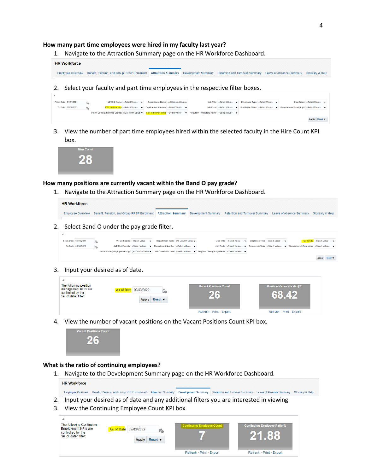#### **How many part time employees were hired in my faculty last year?**

1. Navigate to the Attraction Summary page on the HR Workforce Dashboard.



3. View the number of part time employees hired within the selected faculty in the Hire Count KPI box.



#### <span id="page-5-0"></span>**How many positions are currently vacant within the Band O pay grade?**

1. Navigate to the Attraction Summary page on the HR Workforce Dashboard.

| Employee Overview Benefit, Pension, and Group RRSP Enrolment   Attraction Summary   Development Summary Retention and Turnover Summary Leave of Absence Summary Glossary & Help | <b>HR Workforce</b> |  |  |  |
|---------------------------------------------------------------------------------------------------------------------------------------------------------------------------------|---------------------|--|--|--|
|                                                                                                                                                                                 |                     |  |  |  |

2. Select Band O under the pay grade filter.

| From Date 01/01/2021 |                                                                                                                                     | VP Unit Name $-$ Select Value $-$ | Department Name (All Column Value:                                     |  | Job Title -- Select Value- v Employee Type -- Select Value- v |                                                                                                      | Pay Grade --Select Value-- |  |
|----------------------|-------------------------------------------------------------------------------------------------------------------------------------|-----------------------------------|------------------------------------------------------------------------|--|---------------------------------------------------------------|------------------------------------------------------------------------------------------------------|----------------------------|--|
| To Date 03/08/2022   |                                                                                                                                     |                                   | AVP Unit/Faculty --Select Value- v Department Number --Select Value- v |  |                                                               | Job Code --Select Value- v Employee Class --Select Value- v Generational Groupings --Select Value- v |                            |  |
|                      | Union Code (Employee Group) (All Column Value: v Full-Time/Part-Time --Select Value-- v Regular / Temporary Name --Select Value-- v |                                   |                                                                        |  |                                                               |                                                                                                      |                            |  |
|                      |                                                                                                                                     |                                   |                                                                        |  |                                                               |                                                                                                      | Apply Reset                |  |

3. Input your desired as of date.

| The following position<br>management KPIs are<br>controlled by the<br>"as of date" filter: | As of Date 02/03/2022<br>ö.<br>Reset $\blacktriangledown$<br><b>Apply</b> | <b>Vacant Positions Count</b><br>26 | <b>Position Vacancy Ratio (%)</b><br><b>68</b> |  |
|--------------------------------------------------------------------------------------------|---------------------------------------------------------------------------|-------------------------------------|------------------------------------------------|--|
|                                                                                            |                                                                           | Refresh - Print - Export            | Refresh - Print - Export                       |  |

4. View the number of vacant positions on the Vacant Positions Count KPI box.



#### <span id="page-5-1"></span>**What is the ratio of continuing employees?**

1. Navigate to the Development Summary page on the HR Workforce Dashboard. **HR Workforce** 

Employee Overview Benefit, Pension, and Group RRSP Enrolment Attraction Summary Development Summary Retention and Turnover Summary Leave of Absence Summary Glossary & Help

- 2. Input your desired as of date and any additional filters you are interested in viewing
- 3. View the Continuing Employee Count KPI box

<span id="page-5-2"></span>

| The following Continuing<br><b>Employment KPIs are</b><br>controlled by the<br>"as of date" filter: | As of Date 02/03/2022<br>恼<br>Reset $\blacktriangledown$<br>Apply | <b>Continuing Employee Count</b> | <b>Continuing Employee Ratio %</b><br>21.88 |
|-----------------------------------------------------------------------------------------------------|-------------------------------------------------------------------|----------------------------------|---------------------------------------------|
|                                                                                                     |                                                                   | Refresh - Print - Export         | Refresh - Print - Export                    |

Apply Reset  $\blacktriangledown$